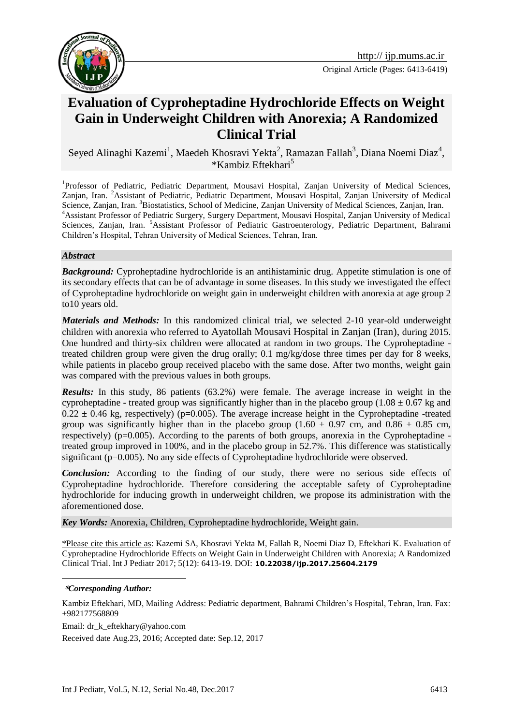

Original Article (Pages: 6413-6419)

# **Evaluation of Cyproheptadine Hydrochloride Effects on Weight Gain in Underweight Children with Anorexia; A Randomized Clinical Trial**

Seyed Alinaghi Kazemi<sup>1</sup>, Maedeh Khosravi Yekta<sup>2</sup>, Ramazan Fallah<sup>3</sup>, Diana Noemi Diaz<sup>4</sup>, \*Kambiz Eftekhari<sup>5</sup>

<sup>1</sup>Professor of Pediatric, Pediatric Department, Mousavi Hospital, Zanjan University of Medical Sciences, Zanjan, Iran. <sup>2</sup>Assistant of Pediatric, Pediatric Department, Mousavi Hospital, Zanjan University of Medical Science, Zanjan, Iran. <sup>3</sup>Biostatistics, School of Medicine, Zanjan University of Medical Sciences, Zanjan, Iran. <sup>4</sup>Assistant Professor of Pediatric Surgery, Surgery Department, Mousavi Hospital, Zanjan University of Medical Sciences, Zanjan, Iran. <sup>5</sup>Assistant Professor of Pediatric Gastroenterology, Pediatric Department, Bahrami Children's Hospital, Tehran University of Medical Sciences, Tehran, Iran.

#### *Abstract*

**Background:** Cyproheptadine hydrochloride is an antihistaminic drug. Appetite stimulation is one of its secondary effects that can be of advantage in some diseases. In this study we investigated the effect of Cyproheptadine hydrochloride on weight gain in underweight children with anorexia at age group 2 to10 years old.

*Materials and Methods:* In this randomized clinical trial, we selected 2-10 year-old underweight children with anorexia who referred to Ayatollah Mousavi Hospital in Zanjan (Iran), during 2015. One hundred and thirty-six children were allocated at random in two groups. The Cyproheptadine treated children group were given the drug orally; 0.1 mg/kg/dose three times per day for 8 weeks, while patients in placebo group received placebo with the same dose. After two months, weight gain was compared with the previous values in both groups.

*Results:* In this study, 86 patients (63.2%) were female. The average increase in weight in the cyproheptadine - treated group was significantly higher than in the placebo group (1.08  $\pm$  0.67 kg and  $0.22 \pm 0.46$  kg, respectively) (p=0.005). The average increase height in the Cyproheptadine -treated group was significantly higher than in the placebo group (1.60  $\pm$  0.97 cm, and 0.86  $\pm$  0.85 cm, respectively) (p=0.005). According to the parents of both groups, anorexia in the Cyproheptadine treated group improved in 100%, and in the placebo group in 52.7%. This difference was statistically significant (p=0.005). No any side effects of Cyproheptadine hydrochloride were observed.

**Conclusion:** According to the finding of our study, there were no serious side effects of Cyproheptadine hydrochloride. Therefore considering the acceptable safety of Cyproheptadine hydrochloride for inducing growth in underweight children, we propose its administration with the aforementioned dose.

*Key Words:* Anorexia, Children, Cyproheptadine hydrochloride, Weight gain.

\*Please cite this article as: Kazemi SA, Khosravi Yekta M, Fallah R, Noemi Diaz D, Eftekhari K. Evaluation of Cyproheptadine Hydrochloride Effects on Weight Gain in Underweight Children with Anorexia; A Randomized Clinical Trial. Int J Pediatr 2017; 5(12): 6413-19. DOI: **10.22038/ijp.2017.25604.2179**

<u>.</u>

Email: dr\_k\_eftekhary@yahoo.com

Received date Aug.23, 2016; Accepted date: Sep.12, 2017

**<sup>\*</sup>***Corresponding Author:*

Kambiz Eftekhari, MD, Mailing Address: Pediatric department, Bahrami Children's Hospital, Tehran, Iran. Fax: +982177568809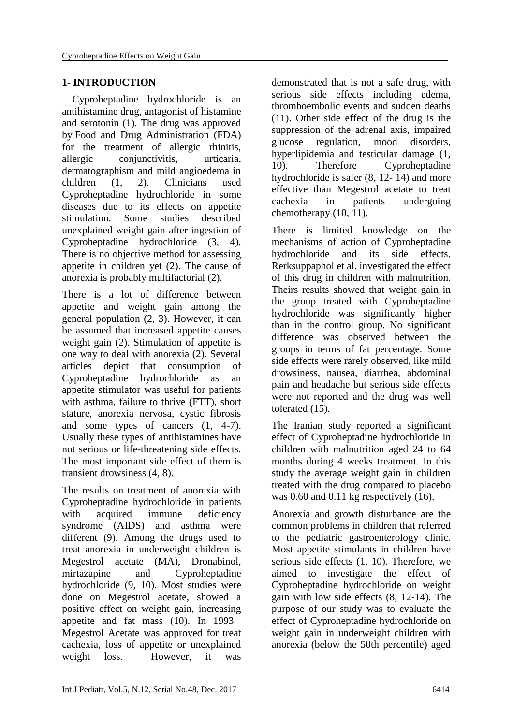## **1- INTRODUCTION**

 Cyproheptadine hydrochloride is an antihistamine drug, antagonist of histamine and serotonin (1). The drug was approved by Food and Drug Administration (FDA) for the treatment of allergic rhinitis, allergic conjunctivitis, urticaria, dermatographism and mild angioedema in children (1, 2). Clinicians used Cyproheptadine hydrochloride in some diseases due to its effects on appetite stimulation. Some studies described unexplained weight gain after ingestion of Cyproheptadine hydrochloride (3, 4). There is no objective method for assessing appetite in children yet (2). The cause of anorexia is probably multifactorial (2).

There is a lot of difference between appetite and weight gain among the general population (2, 3). However, it can be assumed that increased appetite causes weight gain (2). Stimulation of appetite is one way to deal with anorexia (2). Several articles depict that consumption of Cyproheptadine hydrochloride as an appetite stimulator was useful for patients with asthma, failure to thrive (FTT), short stature, anorexia nervosa, cystic fibrosis and some types of cancers (1, 4-7). Usually these types of antihistamines have not serious or life-threatening side effects. The most important side effect of them is transient drowsiness (4, 8).

The results on treatment of anorexia with Cyproheptadine hydrochloride in patients with acquired immune deficiency syndrome (AIDS) and asthma were different (9). Among the drugs used to treat anorexia in underweight children is Megestrol acetate (MA), Dronabinol, mirtazapine and Cyproheptadine hydrochloride (9, 10). Most studies were done on Megestrol acetate, showed a positive effect on weight gain, increasing appetite and fat mass (10). In 1993 Megestrol Acetate was approved for treat cachexia, loss of appetite or unexplained weight loss. However, it was

demonstrated that is not a safe drug, with serious side effects including edema, thromboembolic events and sudden deaths (11). Other side effect of the drug is the suppression of the adrenal axis, impaired glucose regulation, mood disorders, hyperlipidemia and testicular damage (1, 10). Therefore Cyproheptadine hydrochloride is safer (8, 12- 14) and more effective than Megestrol acetate to treat cachexia in patients undergoing chemotherapy (10, 11).

There is limited knowledge on the mechanisms of action of Cyproheptadine hydrochloride and its side effects. Rerksuppaphol et al. investigated the effect of this drug in children with malnutrition. Theirs results showed that weight gain in the group treated with Cyproheptadine hydrochloride was significantly higher than in the control group. No significant difference was observed between the groups in terms of fat percentage. Some side effects were rarely observed, like mild drowsiness, nausea, diarrhea, abdominal pain and headache but serious side effects were not reported and the drug was well tolerated (15).

The Iranian study reported a significant effect of Cyproheptadine hydrochloride in children with malnutrition aged 24 to 64 months during 4 weeks treatment. In this study the average weight gain in children treated with the drug compared to placebo was 0.60 and 0.11 kg respectively (16).

Anorexia and growth disturbance are the common problems in children that referred to the pediatric gastroenterology clinic. Most appetite stimulants in children have serious side effects (1, 10). Therefore, we aimed to investigate the effect of Cyproheptadine hydrochloride on weight gain with low side effects (8, 12-14). The purpose of our study was to evaluate the effect of Cyproheptadine hydrochloride on weight gain in underweight children with anorexia (below the 50th percentile) aged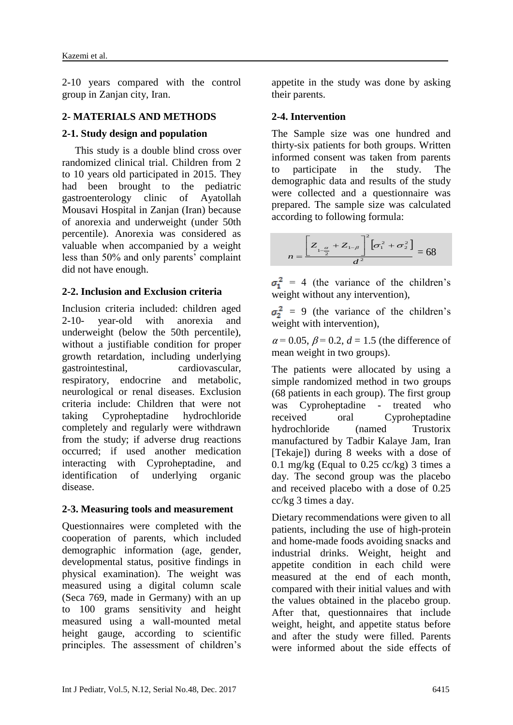2-10 years compared with the control group in Zanjan city, Iran.

#### **2- MATERIALS AND METHODS**

#### **2-1. Study design and population**

 This study is a double blind cross over randomized clinical trial. Children from 2 to 10 years old participated in 2015. They had been brought to the pediatric gastroenterology clinic of Ayatollah Mousavi Hospital in Zanjan (Iran) because of anorexia and underweight (under 50th percentile). Anorexia was considered as valuable when accompanied by a weight less than 50% and only parents' complaint did not have enough.

### **2-2. Inclusion and Exclusion criteria**

Inclusion criteria included: children aged 2-10- year-old with anorexia and underweight (below the 50th percentile), without a justifiable condition for proper growth retardation, including underlying gastrointestinal, cardiovascular, respiratory, endocrine and metabolic, neurological or renal diseases. Exclusion criteria include: Children that were not taking Cyproheptadine hydrochloride completely and regularly were withdrawn from the study; if adverse drug reactions occurred; if used another medication interacting with Cyproheptadine, and identification of underlying organic disease.

#### **2-3. Measuring tools and measurement**

Questionnaires were completed with the cooperation of parents, which included demographic information (age, gender, developmental status, positive findings in physical examination). The weight was measured using a digital column scale (Seca 769, made in Germany) with an up to 100 grams sensitivity and height measured using a wall-mounted metal height gauge, according to scientific principles. The assessment of children's appetite in the study was done by asking their parents.

#### **2-4. Intervention**

The Sample size was one hundred and thirty-six patients for both groups. Written informed consent was taken from parents to participate in the study. The demographic data and results of the study were collected and a questionnaire was prepared. The sample size was calculated according to following formula:



 $\sigma_1^2$  = 4 (the variance of the children's weight without any intervention),

 $\sigma_2^2 = 9$  (the variance of the children's weight with intervention),

 $\alpha$  = 0.05,  $\beta$  = 0.2,  $d$  = 1.5 (the difference of mean weight in two groups).

The patients were allocated by using a simple randomized method in two groups (68 patients in each group). The first group was Cyproheptadine - treated who received oral Cyproheptadine hydrochloride (named Trustorix manufactured by Tadbir Kalaye Jam, Iran [Tekaje]) during 8 weeks with a dose of 0.1 mg/kg (Equal to 0.25 cc/kg) 3 times a day. The second group was the placebo and received placebo with a dose of 0.25 cc/kg 3 times a day.

Dietary recommendations were given to all patients, including the use of high-protein and home-made foods avoiding snacks and industrial drinks. Weight, height and appetite condition in each child were measured at the end of each month, compared with their initial values and with the values obtained in the placebo group. After that, questionnaires that include weight, height, and appetite status before and after the study were filled. Parents were informed about the side effects of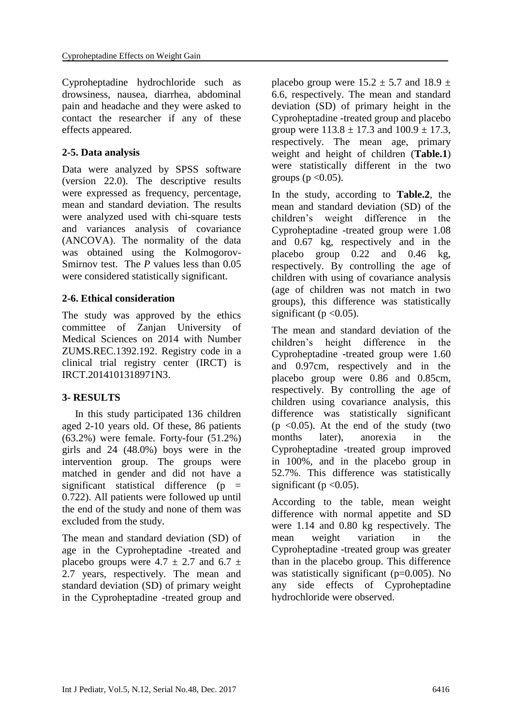Cyproheptadine hydrochloride such as drowsiness, nausea, diarrhea, abdominal pain and headache and they were asked to contact the researcher if any of these effects appeared.

# **2-5. Data analysis**

Data were analyzed by SPSS software (version 22.0). The descriptive results were expressed as frequency, percentage, mean and standard deviation. The results were analyzed used with chi-square tests and variances analysis of covariance (ANCOVA). The normality of the data was obtained using the Kolmogorov-Smirnov test. The *P* values less than 0.05 were considered statistically significant.

## **2-6. Ethical consideration**

The study was approved by the ethics committee of Zanjan University of Medical Sciences on 2014 with Number ZUMS.REC.1392.192. Registry code in a clinical trial registry center (IRCT) is IRCT.2014101318971N3.

# **3- RESULTS**

 In this study participated 136 children aged 2-10 years old. Of these, 86 patients (63.2%) were female. Forty-four (51.2%) girls and 24 (48.0%) boys were in the intervention group. The groups were matched in gender and did not have a significant statistical difference  $(p =$ 0.722). All patients were followed up until the end of the study and none of them was excluded from the study.

The mean and standard deviation (SD) of age in the Cyproheptadine -treated and placebo groups were  $4.7 \pm 2.7$  and  $6.7 \pm$ 2.7 years, respectively. The mean and standard deviation (SD) of primary weight in the Cyproheptadine -treated group and placebo group were  $15.2 \pm 5.7$  and  $18.9 \pm 1.5$ 6.6, respectively. The mean and standard deviation (SD) of primary height in the Cyproheptadine -treated group and placebo group were  $113.8 \pm 17.3$  and  $100.9 \pm 17.3$ , respectively. The mean age, primary weight and height of children (**Table.1**) were statistically different in the two groups ( $p < 0.05$ ).

In the study, according to **Table.2**, the mean and standard deviation (SD) of the children's weight difference in the Cyproheptadine -treated group were 1.08 and 0.67 kg, respectively and in the placebo group 0.22 and 0.46 kg, respectively. By controlling the age of children with using of covariance analysis (age of children was not match in two groups), this difference was statistically significant ( $p < 0.05$ ).

The mean and standard deviation of the children's height difference in the Cyproheptadine -treated group were 1.60 and 0.97cm, respectively and in the placebo group were 0.86 and 0.85cm, respectively. By controlling the age of children using covariance analysis, this difference was statistically significant  $(p \le 0.05)$ . At the end of the study (two months later), anorexia in the Cyproheptadine -treated group improved in 100%, and in the placebo group in 52.7%. This difference was statistically significant ( $p < 0.05$ ).

According to the table, mean weight difference with normal appetite and SD were 1.14 and 0.80 kg respectively. The mean weight variation in the Cyproheptadine -treated group was greater than in the placebo group. This difference was statistically significant (p=0.005). No any side effects of Cyproheptadine hydrochloride were observed.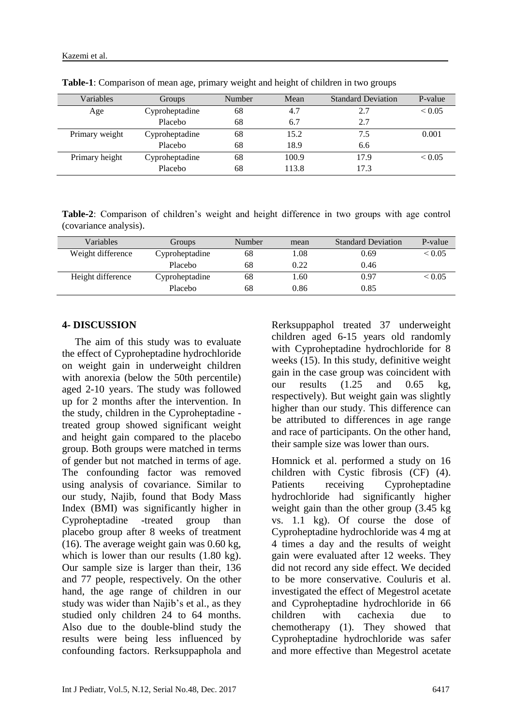| Variables      | Groups         | Number | Mean  | <b>Standard Deviation</b> | P-value          |
|----------------|----------------|--------|-------|---------------------------|------------------|
| Age            | Cyproheptadine | 68     | 4.7   | 2.7                       | ${}_{\leq 0.05}$ |
|                | Placebo        | 68     | 6.7   | 2.7                       |                  |
| Primary weight | Cyproheptadine | 68     | 15.2  | 7.5                       | 0.001            |
|                | Placebo        | 68     | 18.9  | 6.6                       |                  |
| Primary height | Cyproheptadine | 68     | 100.9 | 17.9                      | ${}_{0.05}$      |
|                | Placebo        | 68     | 113.8 | 17.3                      |                  |

**Table-1**: Comparison of mean age, primary weight and height of children in two groups

**Table-2**: Comparison of children's weight and height difference in two groups with age control (covariance analysis).

| Variables         | Groups         | Number | mean | <b>Standard Deviation</b> | P-value          |
|-------------------|----------------|--------|------|---------------------------|------------------|
| Weight difference | Cyproheptadine | 68     | .08  | 0.69                      | ${}_{\leq 0.05}$ |
|                   | Placebo        | 68     | 0.22 | 0.46                      |                  |
| Height difference | Cyproheptadine | 68     | .60  | 0.97                      | ${}_{\leq 0.05}$ |
|                   | Placebo        | 68     | 0.86 | 0.85                      |                  |

#### **4- DISCUSSION**

 The aim of this study was to evaluate the effect of Cyproheptadine hydrochloride on weight gain in underweight children with anorexia (below the 50th percentile) aged 2-10 years. The study was followed up for 2 months after the intervention. In the study, children in the Cyproheptadine treated group showed significant weight and height gain compared to the placebo group. Both groups were matched in terms of gender but not matched in terms of age. The confounding factor was removed using analysis of covariance. Similar to our study, Najib, found that Body Mass Index (BMI) was significantly higher in Cyproheptadine -treated group than placebo group after 8 weeks of treatment (16). The average weight gain was 0.60 kg, which is lower than our results  $(1.80 \text{ kg})$ . Our sample size is larger than their, 136 and 77 people, respectively. On the other hand, the age range of children in our study was wider than Najib's et al., as they studied only children 24 to 64 months. Also due to the double-blind study the results were being less influenced by confounding factors. Rerksuppaphola and Rerksuppaphol treated 37 underweight children aged 6-15 years old randomly with Cyproheptadine hydrochloride for 8 weeks (15). In this study, definitive weight gain in the case group was coincident with our results  $(1.25 \text{ and } 0.65 \text{ kg})$ respectively). But weight gain was slightly higher than our study. This difference can be attributed to differences in age range and race of participants. On the other hand, their sample size was lower than ours.

Homnick et al. performed a study on 16 children with Cystic fibrosis (CF) (4). Patients receiving Cyproheptadine hydrochloride had significantly higher weight gain than the other group (3.45 kg vs. 1.1 kg). Of course the dose of Cyproheptadine hydrochloride was 4 mg at 4 times a day and the results of weight gain were evaluated after 12 weeks. They did not record any side effect. We decided to be more conservative. Couluris et al. investigated the effect of Megestrol acetate and Cyproheptadine hydrochloride in 66 children with cachexia due to chemotherapy (1). They showed that Cyproheptadine hydrochloride was safer and more effective than Megestrol acetate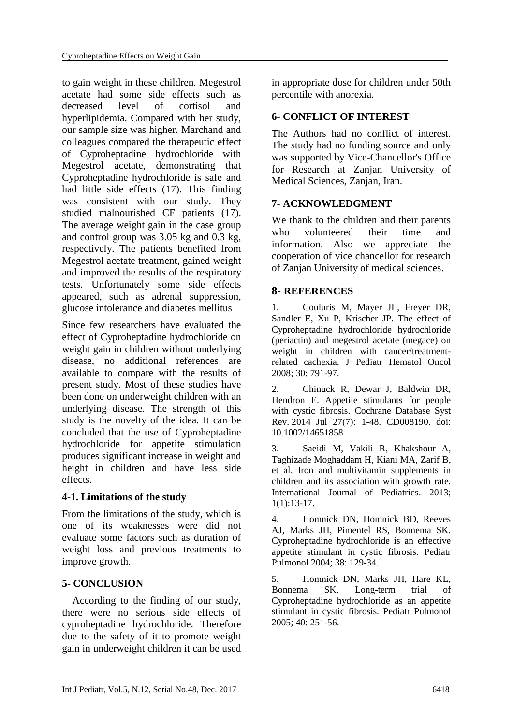to gain weight in these children. Megestrol acetate had some side effects such as decreased level of cortisol and hyperlipidemia. Compared with her study, our sample size was higher. Marchand and colleagues compared the therapeutic effect of Cyproheptadine hydrochloride with Megestrol acetate, demonstrating that Cyproheptadine hydrochloride is safe and had little side effects (17). This finding was consistent with our study. They studied malnourished CF patients (17). The average weight gain in the case group and control group was 3.05 kg and 0.3 kg, respectively. The patients benefited from Megestrol acetate treatment, gained weight and improved the results of the respiratory tests. Unfortunately some side effects appeared, such as adrenal suppression, glucose intolerance and diabetes mellitus

Since few researchers have evaluated the effect of Cyproheptadine hydrochloride on weight gain in children without underlying disease, no additional references are available to compare with the results of present study. Most of these studies have been done on underweight children with an underlying disease. The strength of this study is the novelty of the idea. It can be concluded that the use of Cyproheptadine hydrochloride for appetite stimulation produces significant increase in weight and height in children and have less side effects.

### **4-1. Limitations of the study**

From the limitations of the study, which is one of its weaknesses were did not evaluate some factors such as duration of weight loss and previous treatments to improve growth.

# **5- CONCLUSION**

 According to the finding of our study, there were no serious side effects of cyproheptadine hydrochloride. Therefore due to the safety of it to promote weight gain in underweight children it can be used in appropriate dose for children under 50th percentile with anorexia.

## **6- CONFLICT OF INTEREST**

The Authors had no conflict of interest. The study had no funding source and only was supported by Vice-Chancellor's Office for Research at Zanjan University of Medical Sciences, Zanjan, Iran.

## **7- ACKNOWLEDGMENT**

We thank to the children and their parents who volunteered their time and information. Also we appreciate the cooperation of vice chancellor for research of Zanjan University of medical sciences.

## **8- REFERENCES**

1. Couluris M, Mayer JL, Freyer DR, Sandler E, Xu P, Krischer JP. The effect of Cyproheptadine hydrochloride hydrochloride (periactin) and megestrol acetate (megace) on weight in children with cancer/treatmentrelated cachexia. J Pediatr Hematol Oncol 2008; 30: 791-97.

2. Chinuck R, Dewar J, Baldwin DR, Hendron E. Appetite stimulants for people with cystic fibrosis. Cochrane Database Syst Rev. 2014 Jul 27(7): 1-48. CD008190. doi: 10.1002/14651858

3. [Saeidi M,](https://www.scopus.com/authid/detail.uri?authorId=55927110500&eid=2-s2.0-85006924985) [Vakili R,](https://www.scopus.com/authid/detail.uri?authorId=55966390700&eid=2-s2.0-85006924985) [Khakshour A,](https://www.scopus.com/authid/detail.uri?authorId=55550328600&eid=2-s2.0-85006924985)  Taghizade [Moghaddam H,](https://www.scopus.com/authid/detail.uri?authorId=57192586132&eid=2-s2.0-85006924985) [Kiani MA,](https://www.scopus.com/authid/detail.uri?authorId=54683993700&eid=2-s2.0-85006924985) [Zarif B,](https://www.scopus.com/authid/detail.uri?authorId=57192586817&eid=2-s2.0-85006924985) et al. Iron and multivitamin supplements in children and its association with growth rate. [International Journal of Pediatrics.](https://www.scopus.com/sourceid/21100790061?origin=recordpage) 2013; 1(1):13-17.

4. Homnick DN, Homnick BD, Reeves AJ, Marks JH, Pimentel RS, Bonnema SK. Cyproheptadine hydrochloride is an effective appetite stimulant in cystic fibrosis. Pediatr Pulmonol 2004; 38: 129-34.

5. Homnick DN, Marks JH, Hare KL, Bonnema SK. Long-term trial of Cyproheptadine hydrochloride as an appetite stimulant in cystic fibrosis. Pediatr Pulmonol 2005; 40: 251-56.